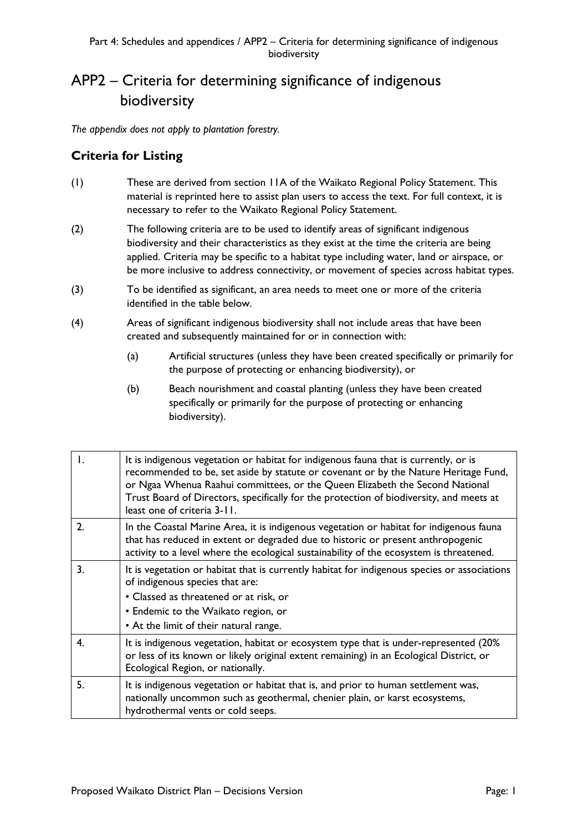## APP2 – Criteria for determining significance of indigenous biodiversity

*The appendix does not apply to plantation forestry.*

## **Criteria for Listing**

- (1) These are derived from section 11A of the Waikato Regional Policy Statement. This material is reprinted here to assist plan users to access the text. For full context, it is necessary to refer to the Waikato Regional Policy Statement.
- (2) The following criteria are to be used to identify areas of significant indigenous biodiversity and their characteristics as they exist at the time the criteria are being applied. Criteria may be specific to a habitat type including water, land or airspace, or be more inclusive to address connectivity, or movement of species across habitat types.
- (3) To be identified as significant, an area needs to meet one or more of the criteria identified in the table below.
- (4) Areas of significant indigenous biodiversity shall not include areas that have been created and subsequently maintained for or in connection with:
	- (a) Artificial structures (unless they have been created specifically or primarily for the purpose of protecting or enhancing biodiversity), or
	- (b) Beach nourishment and coastal planting (unless they have been created specifically or primarily for the purpose of protecting or enhancing biodiversity).

|              | It is indigenous vegetation or habitat for indigenous fauna that is currently, or is<br>recommended to be, set aside by statute or covenant or by the Nature Heritage Fund,<br>or Ngaa Whenua Raahui committees, or the Queen Elizabeth the Second National<br>Trust Board of Directors, specifically for the protection of biodiversity, and meets at<br>least one of criteria 3-11. |
|--------------|---------------------------------------------------------------------------------------------------------------------------------------------------------------------------------------------------------------------------------------------------------------------------------------------------------------------------------------------------------------------------------------|
| $\mathbf{2}$ | In the Coastal Marine Area, it is indigenous vegetation or habitat for indigenous fauna<br>that has reduced in extent or degraded due to historic or present anthropogenic<br>activity to a level where the ecological sustainability of the ecosystem is threatened.                                                                                                                 |
| 3.           | It is vegetation or habitat that is currently habitat for indigenous species or associations<br>of indigenous species that are:<br>• Classed as threatened or at risk, or<br>• Endemic to the Waikato region, or<br>• At the limit of their natural range.                                                                                                                            |
| 4.           | It is indigenous vegetation, habitat or ecosystem type that is under-represented (20%)<br>or less of its known or likely original extent remaining) in an Ecological District, or<br>Ecological Region, or nationally.                                                                                                                                                                |
| 5.           | It is indigenous vegetation or habitat that is, and prior to human settlement was,<br>nationally uncommon such as geothermal, chenier plain, or karst ecosystems,<br>hydrothermal vents or cold seeps.                                                                                                                                                                                |